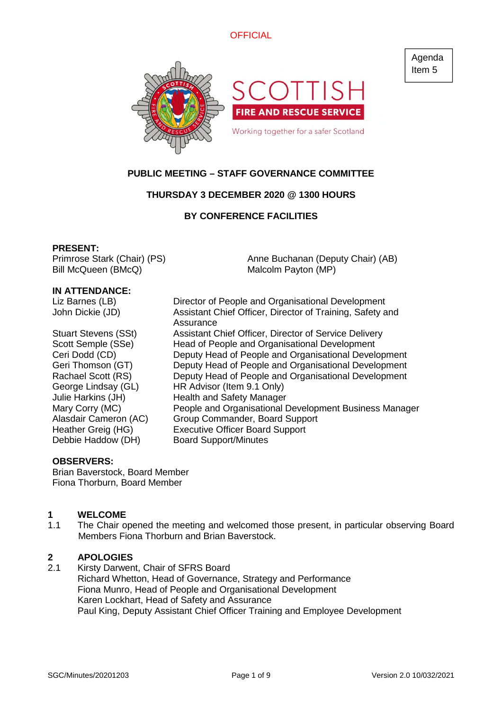

# **PUBLIC MEETING – STAFF GOVERNANCE COMMITTEE**

# **THURSDAY 3 DECEMBER 2020 @ 1300 HOURS**

# **BY CONFERENCE FACILITIES**

#### **PRESENT:**

Primrose Stark (Chair) (PS) Bill McQueen (BMcQ)

Anne Buchanan (Deputy Chair) (AB) Malcolm Payton (MP)

#### **IN ATTENDANCE:**

Liz Barnes (LB) Director of People and Organisational Development

Debbie Haddow (DH) Board Support/Minutes

John Dickie (JD) Assistant Chief Officer, Director of Training, Safety and Assurance Stuart Stevens (SSt) Assistant Chief Officer, Director of Service Delivery Scott Semple (SSe) Head of People and Organisational Development Ceri Dodd (CD) Deputy Head of People and Organisational Development Geri Thomson (GT) Deputy Head of People and Organisational Development Rachael Scott (RS) Deputy Head of People and Organisational Development George Lindsay (GL) HR Advisor (Item 9.1 Only) Julie Harkins (JH) Health and Safety Manager Mary Corry (MC) People and Organisational Development Business Manager Alasdair Cameron (AC) Group Commander, Board Support Heather Greig (HG) Executive Officer Board Support

## **OBSERVERS:**

Brian Baverstock, Board Member Fiona Thorburn, Board Member

## **1 WELCOME**

1.1 The Chair opened the meeting and welcomed those present, in particular observing Board Members Fiona Thorburn and Brian Baverstock.

## **2 APOLOGIES**

2.1 Kirsty Darwent, Chair of SFRS Board Richard Whetton, Head of Governance, Strategy and Performance Fiona Munro, Head of People and Organisational Development Karen Lockhart, Head of Safety and Assurance Paul King, Deputy Assistant Chief Officer Training and Employee Development

Agenda Item 5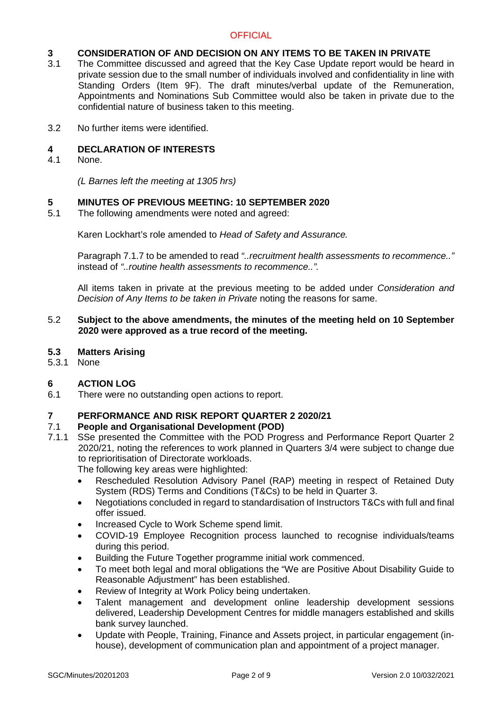# **3 CONSIDERATION OF AND DECISION ON ANY ITEMS TO BE TAKEN IN PRIVATE**<br>3.1 The Committee discussed and agreed that the Key Case Update report would be hear

- The Committee discussed and agreed that the Key Case Update report would be heard in private session due to the small number of individuals involved and confidentiality in line with Standing Orders (Item 9F). The draft minutes/verbal update of the Remuneration, Appointments and Nominations Sub Committee would also be taken in private due to the confidential nature of business taken to this meeting.
- 3.2 No further items were identified.

## **4 DECLARATION OF INTERESTS**

4.1 None.

*(L Barnes left the meeting at 1305 hrs)*

## **5 MINUTES OF PREVIOUS MEETING: 10 SEPTEMBER 2020**

5.1 The following amendments were noted and agreed:

Karen Lockhart's role amended to *Head of Safety and Assurance.*

Paragraph 7.1.7 to be amended to read *"..recruitment health assessments to recommence.."* instead of *"..routine health assessments to recommence..".*

All items taken in private at the previous meeting to be added under *Consideration and Decision of Any Items to be taken in Private* noting the reasons for same.

## 5.2 **Subject to the above amendments, the minutes of the meeting held on 10 September 2020 were approved as a true record of the meeting.**

- **5.3 Matters Arising**
- 5.3.1 None

# **6 ACTION LOG**

6.1 There were no outstanding open actions to report.

# **7 PERFORMANCE AND RISK REPORT QUARTER 2 2020/21**

## 7.1 **People and Organisational Development (POD)**

7.1.1 SSe presented the Committee with the POD Progress and Performance Report Quarter 2 2020/21, noting the references to work planned in Quarters 3/4 were subject to change due to reprioritisation of Directorate workloads.

The following key areas were highlighted:

- Rescheduled Resolution Advisory Panel (RAP) meeting in respect of Retained Duty System (RDS) Terms and Conditions (T&Cs) to be held in Quarter 3.
- Negotiations concluded in regard to standardisation of Instructors T&Cs with full and final offer issued.
- Increased Cycle to Work Scheme spend limit.
- COVID-19 Employee Recognition process launched to recognise individuals/teams during this period.
- Building the Future Together programme initial work commenced.
- To meet both legal and moral obligations the "We are Positive About Disability Guide to Reasonable Adjustment" has been established.
- Review of Integrity at Work Policy being undertaken.
- Talent management and development online leadership development sessions delivered, Leadership Development Centres for middle managers established and skills bank survey launched.
- Update with People, Training, Finance and Assets project, in particular engagement (inhouse), development of communication plan and appointment of a project manager.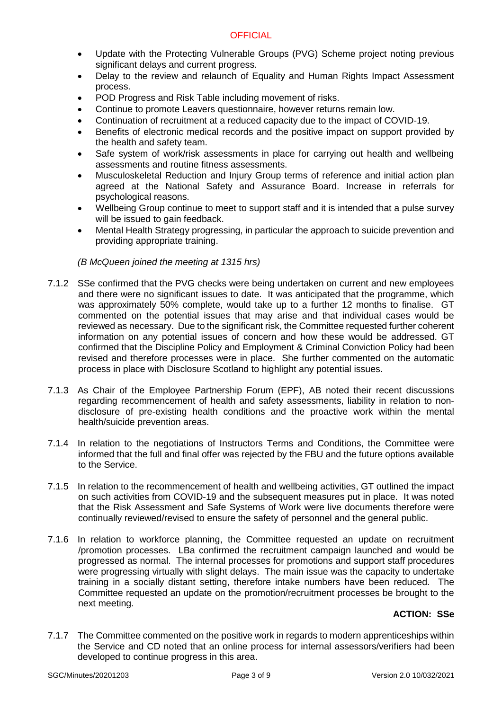- Update with the Protecting Vulnerable Groups (PVG) Scheme project noting previous significant delays and current progress.
- Delay to the review and relaunch of Equality and Human Rights Impact Assessment process.
- POD Progress and Risk Table including movement of risks.
- Continue to promote Leavers questionnaire, however returns remain low.
- Continuation of recruitment at a reduced capacity due to the impact of COVID-19.
- Benefits of electronic medical records and the positive impact on support provided by the health and safety team.
- Safe system of work/risk assessments in place for carrying out health and wellbeing assessments and routine fitness assessments.
- Musculoskeletal Reduction and Injury Group terms of reference and initial action plan agreed at the National Safety and Assurance Board. Increase in referrals for psychological reasons.
- Wellbeing Group continue to meet to support staff and it is intended that a pulse survey will be issued to gain feedback.
- Mental Health Strategy progressing, in particular the approach to suicide prevention and providing appropriate training.

# *(B McQueen joined the meeting at 1315 hrs)*

- 7.1.2 SSe confirmed that the PVG checks were being undertaken on current and new employees and there were no significant issues to date. It was anticipated that the programme, which was approximately 50% complete, would take up to a further 12 months to finalise. GT commented on the potential issues that may arise and that individual cases would be reviewed as necessary. Due to the significant risk, the Committee requested further coherent information on any potential issues of concern and how these would be addressed. GT confirmed that the Discipline Policy and Employment & Criminal Conviction Policy had been revised and therefore processes were in place. She further commented on the automatic process in place with Disclosure Scotland to highlight any potential issues.
- 7.1.3 As Chair of the Employee Partnership Forum (EPF), AB noted their recent discussions regarding recommencement of health and safety assessments, liability in relation to nondisclosure of pre-existing health conditions and the proactive work within the mental health/suicide prevention areas.
- 7.1.4 In relation to the negotiations of Instructors Terms and Conditions, the Committee were informed that the full and final offer was rejected by the FBU and the future options available to the Service.
- 7.1.5 In relation to the recommencement of health and wellbeing activities, GT outlined the impact on such activities from COVID-19 and the subsequent measures put in place. It was noted that the Risk Assessment and Safe Systems of Work were live documents therefore were continually reviewed/revised to ensure the safety of personnel and the general public.
- 7.1.6 In relation to workforce planning, the Committee requested an update on recruitment /promotion processes. LBa confirmed the recruitment campaign launched and would be progressed as normal. The internal processes for promotions and support staff procedures were progressing virtually with slight delays. The main issue was the capacity to undertake training in a socially distant setting, therefore intake numbers have been reduced. The Committee requested an update on the promotion/recruitment processes be brought to the next meeting.

# **ACTION: SSe**

7.1.7 The Committee commented on the positive work in regards to modern apprenticeships within the Service and CD noted that an online process for internal assessors/verifiers had been developed to continue progress in this area.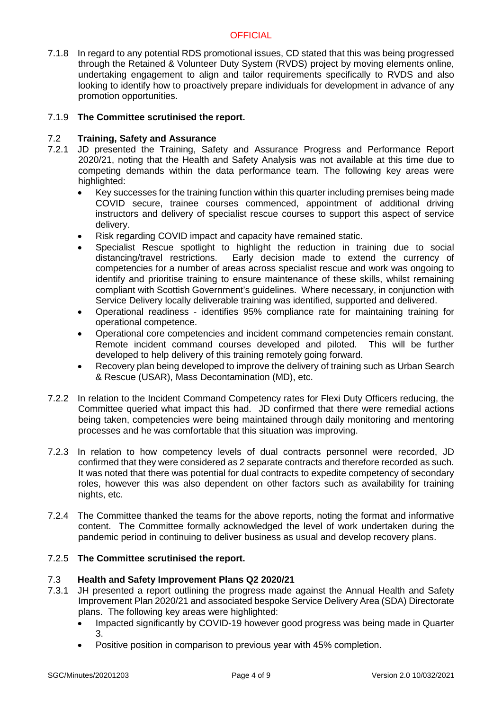7.1.8 In regard to any potential RDS promotional issues, CD stated that this was being progressed through the Retained & Volunteer Duty System (RVDS) project by moving elements online, undertaking engagement to align and tailor requirements specifically to RVDS and also looking to identify how to proactively prepare individuals for development in advance of any promotion opportunities.

## 7.1.9 **The Committee scrutinised the report.**

## 7.2 **Training, Safety and Assurance**

- 7.2.1 JD presented the Training, Safety and Assurance Progress and Performance Report 2020/21, noting that the Health and Safety Analysis was not available at this time due to competing demands within the data performance team. The following key areas were highlighted:
	- Key successes for the training function within this quarter including premises being made COVID secure, trainee courses commenced, appointment of additional driving instructors and delivery of specialist rescue courses to support this aspect of service delivery.
	- Risk regarding COVID impact and capacity have remained static.
	- Specialist Rescue spotlight to highlight the reduction in training due to social distancing/travel restrictions. Early decision made to extend the currency of competencies for a number of areas across specialist rescue and work was ongoing to identify and prioritise training to ensure maintenance of these skills, whilst remaining compliant with Scottish Government's guidelines. Where necessary, in conjunction with Service Delivery locally deliverable training was identified, supported and delivered.
	- Operational readiness identifies 95% compliance rate for maintaining training for operational competence.
	- Operational core competencies and incident command competencies remain constant. Remote incident command courses developed and piloted. This will be further developed to help delivery of this training remotely going forward.
	- Recovery plan being developed to improve the delivery of training such as Urban Search & Rescue (USAR), Mass Decontamination (MD), etc.
- 7.2.2 In relation to the Incident Command Competency rates for Flexi Duty Officers reducing, the Committee queried what impact this had. JD confirmed that there were remedial actions being taken, competencies were being maintained through daily monitoring and mentoring processes and he was comfortable that this situation was improving.
- 7.2.3 In relation to how competency levels of dual contracts personnel were recorded, JD confirmed that they were considered as 2 separate contracts and therefore recorded as such. It was noted that there was potential for dual contracts to expedite competency of secondary roles, however this was also dependent on other factors such as availability for training nights, etc.
- 7.2.4 The Committee thanked the teams for the above reports, noting the format and informative content. The Committee formally acknowledged the level of work undertaken during the pandemic period in continuing to deliver business as usual and develop recovery plans.

## 7.2.5 **The Committee scrutinised the report.**

## 7.3 **Health and Safety Improvement Plans Q2 2020/21**

- 7.3.1 JH presented a report outlining the progress made against the Annual Health and Safety Improvement Plan 2020/21 and associated bespoke Service Delivery Area (SDA) Directorate plans. The following key areas were highlighted:
	- Impacted significantly by COVID-19 however good progress was being made in Quarter 3.
	- Positive position in comparison to previous year with 45% completion.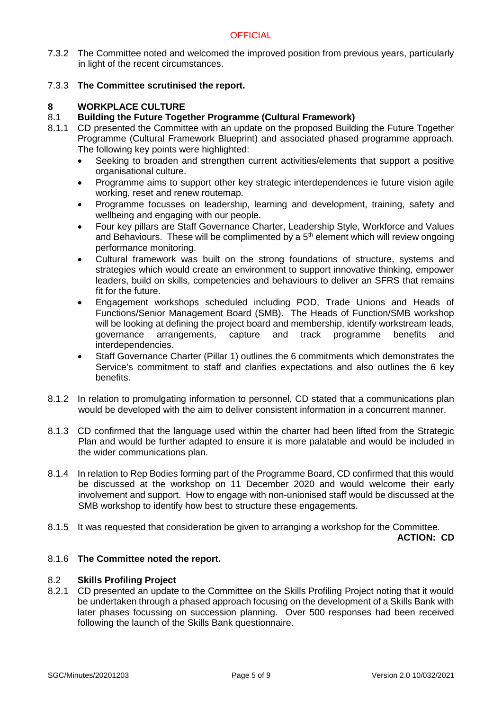7.3.2 The Committee noted and welcomed the improved position from previous years, particularly in light of the recent circumstances.

# 7.3.3 **The Committee scrutinised the report.**

## **8 WORKPLACE CULTURE**

# 8.1 **Building the Future Together Programme (Cultural Framework)**

- 8.1.1 CD presented the Committee with an update on the proposed Building the Future Together Programme (Cultural Framework Blueprint) and associated phased programme approach. The following key points were highlighted:
	- Seeking to broaden and strengthen current activities/elements that support a positive organisational culture.
	- Programme aims to support other key strategic interdependences ie future vision agile working, reset and renew routemap.
	- Programme focusses on leadership, learning and development, training, safety and wellbeing and engaging with our people.
	- Four key pillars are Staff Governance Charter, Leadership Style, Workforce and Values and Behaviours. These will be complimented by a  $5<sup>th</sup>$  element which will review ongoing performance monitoring.
	- Cultural framework was built on the strong foundations of structure, systems and strategies which would create an environment to support innovative thinking, empower leaders, build on skills, competencies and behaviours to deliver an SFRS that remains fit for the future.
	- Engagement workshops scheduled including POD, Trade Unions and Heads of Functions/Senior Management Board (SMB). The Heads of Function/SMB workshop will be looking at defining the project board and membership, identify workstream leads, governance arrangements, capture and track programme benefits and interdependencies.
	- Staff Governance Charter (Pillar 1) outlines the 6 commitments which demonstrates the Service's commitment to staff and clarifies expectations and also outlines the 6 key benefits.
- 8.1.2 In relation to promulgating information to personnel, CD stated that a communications plan would be developed with the aim to deliver consistent information in a concurrent manner.
- 8.1.3 CD confirmed that the language used within the charter had been lifted from the Strategic Plan and would be further adapted to ensure it is more palatable and would be included in the wider communications plan.
- 8.1.4 In relation to Rep Bodies forming part of the Programme Board, CD confirmed that this would be discussed at the workshop on 11 December 2020 and would welcome their early involvement and support. How to engage with non-unionised staff would be discussed at the SMB workshop to identify how best to structure these engagements.
- 8.1.5 It was requested that consideration be given to arranging a workshop for the Committee.

**ACTION: CD**

# 8.1.6 **The Committee noted the report.**

## 8.2 **Skills Profiling Project**

8.2.1 CD presented an update to the Committee on the Skills Profiling Project noting that it would be undertaken through a phased approach focusing on the development of a Skills Bank with later phases focussing on succession planning. Over 500 responses had been received following the launch of the Skills Bank questionnaire.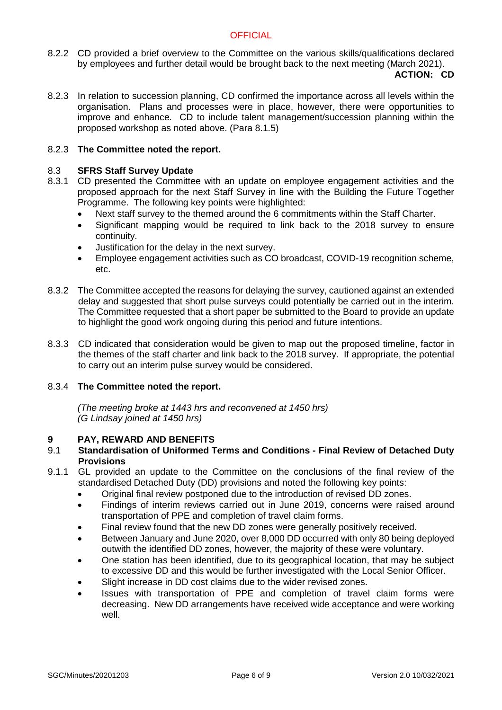8.2.2 CD provided a brief overview to the Committee on the various skills/qualifications declared by employees and further detail would be brought back to the next meeting (March 2021).

## **ACTION: CD**

8.2.3 In relation to succession planning, CD confirmed the importance across all levels within the organisation. Plans and processes were in place, however, there were opportunities to improve and enhance. CD to include talent management/succession planning within the proposed workshop as noted above. (Para 8.1.5)

## 8.2.3 **The Committee noted the report.**

## 8.3 **SFRS Staff Survey Update**

- 8.3.1 CD presented the Committee with an update on employee engagement activities and the proposed approach for the next Staff Survey in line with the Building the Future Together Programme. The following key points were highlighted:
	- Next staff survey to the themed around the 6 commitments within the Staff Charter.
	- Significant mapping would be required to link back to the 2018 survey to ensure continuity.
	- Justification for the delay in the next survey.
	- Employee engagement activities such as CO broadcast, COVID-19 recognition scheme, etc.
- 8.3.2 The Committee accepted the reasons for delaying the survey, cautioned against an extended delay and suggested that short pulse surveys could potentially be carried out in the interim. The Committee requested that a short paper be submitted to the Board to provide an update to highlight the good work ongoing during this period and future intentions.
- 8.3.3 CD indicated that consideration would be given to map out the proposed timeline, factor in the themes of the staff charter and link back to the 2018 survey. If appropriate, the potential to carry out an interim pulse survey would be considered.

## 8.3.4 **The Committee noted the report.**

*(The meeting broke at 1443 hrs and reconvened at 1450 hrs) (G Lindsay joined at 1450 hrs)*

# **9 PAY, REWARD AND BENEFITS**

# 9.1 **Standardisation of Uniformed Terms and Conditions - Final Review of Detached Duty Provisions**

- 9.1.1 GL provided an update to the Committee on the conclusions of the final review of the standardised Detached Duty (DD) provisions and noted the following key points:
	- Original final review postponed due to the introduction of revised DD zones.
	- Findings of interim reviews carried out in June 2019, concerns were raised around transportation of PPE and completion of travel claim forms.
	- Final review found that the new DD zones were generally positively received.
	- Between January and June 2020, over 8,000 DD occurred with only 80 being deployed outwith the identified DD zones, however, the majority of these were voluntary.
	- One station has been identified, due to its geographical location, that may be subject to excessive DD and this would be further investigated with the Local Senior Officer.
	- Slight increase in DD cost claims due to the wider revised zones.
	- Issues with transportation of PPE and completion of travel claim forms were decreasing. New DD arrangements have received wide acceptance and were working well.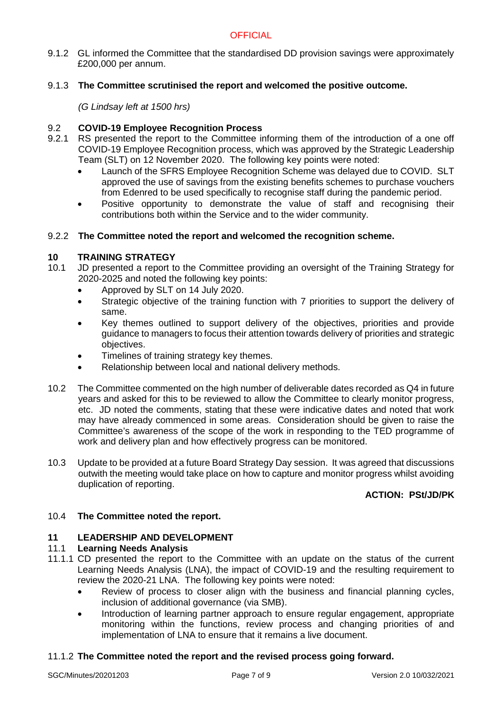9.1.2 GL informed the Committee that the standardised DD provision savings were approximately £200,000 per annum.

# 9.1.3 **The Committee scrutinised the report and welcomed the positive outcome.**

*(G Lindsay left at 1500 hrs)*

# 9.2 **COVID-19 Employee Recognition Process**

- 9.2.1 RS presented the report to the Committee informing them of the introduction of a one off COVID-19 Employee Recognition process, which was approved by the Strategic Leadership Team (SLT) on 12 November 2020. The following key points were noted:
	- Launch of the SFRS Employee Recognition Scheme was delayed due to COVID. SLT approved the use of savings from the existing benefits schemes to purchase vouchers from Edenred to be used specifically to recognise staff during the pandemic period.
	- Positive opportunity to demonstrate the value of staff and recognising their contributions both within the Service and to the wider community.

## 9.2.2 **The Committee noted the report and welcomed the recognition scheme.**

## **10 TRAINING STRATEGY**

- 10.1 JD presented a report to the Committee providing an oversight of the Training Strategy for 2020-2025 and noted the following key points:
	- Approved by SLT on 14 July 2020.
	- Strategic objective of the training function with 7 priorities to support the delivery of same.
	- Key themes outlined to support delivery of the objectives, priorities and provide guidance to managers to focus their attention towards delivery of priorities and strategic objectives.
	- Timelines of training strategy key themes.
	- Relationship between local and national delivery methods.
- 10.2 The Committee commented on the high number of deliverable dates recorded as Q4 in future years and asked for this to be reviewed to allow the Committee to clearly monitor progress, etc. JD noted the comments, stating that these were indicative dates and noted that work may have already commenced in some areas. Consideration should be given to raise the Committee's awareness of the scope of the work in responding to the TED programme of work and delivery plan and how effectively progress can be monitored.
- 10.3 Update to be provided at a future Board Strategy Day session. It was agreed that discussions outwith the meeting would take place on how to capture and monitor progress whilst avoiding duplication of reporting.

# **ACTION: PSt/JD/PK**

# 10.4 **The Committee noted the report.**

# **11 LEADERSHIP AND DEVELOPMENT**

## 11.1 **Learning Needs Analysis**

- 11.1.1 CD presented the report to the Committee with an update on the status of the current Learning Needs Analysis (LNA), the impact of COVID-19 and the resulting requirement to review the 2020-21 LNA. The following key points were noted:
	- Review of process to closer align with the business and financial planning cycles, inclusion of additional governance (via SMB).
	- Introduction of learning partner approach to ensure regular engagement, appropriate monitoring within the functions, review process and changing priorities of and implementation of LNA to ensure that it remains a live document.

## 11.1.2 **The Committee noted the report and the revised process going forward.**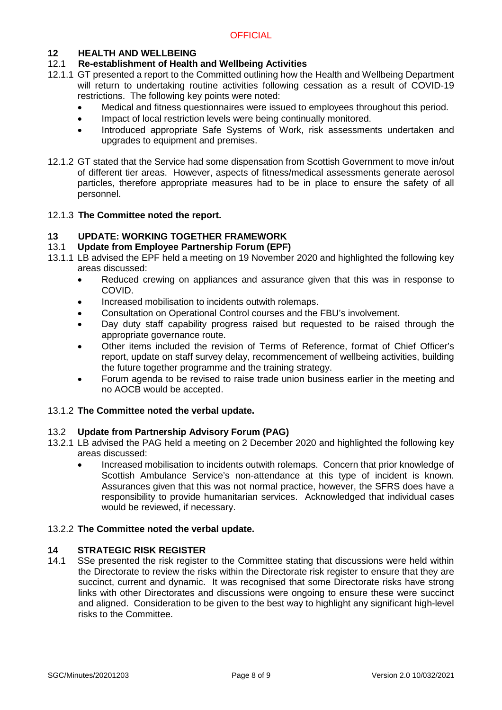# **12 HEALTH AND WELLBEING**

# 12.1 **Re-establishment of Health and Wellbeing Activities**

- 12.1.1 GT presented a report to the Committed outlining how the Health and Wellbeing Department will return to undertaking routine activities following cessation as a result of COVID-19 restrictions. The following key points were noted:
	- Medical and fitness questionnaires were issued to employees throughout this period.
	- Impact of local restriction levels were being continually monitored.
	- Introduced appropriate Safe Systems of Work, risk assessments undertaken and upgrades to equipment and premises.
- 12.1.2 GT stated that the Service had some dispensation from Scottish Government to move in/out of different tier areas. However, aspects of fitness/medical assessments generate aerosol particles, therefore appropriate measures had to be in place to ensure the safety of all personnel.

# 12.1.3 **The Committee noted the report.**

# **13 UPDATE: WORKING TOGETHER FRAMEWORK**

# 13.1 **Update from Employee Partnership Forum (EPF)**

- 13.1.1 LB advised the EPF held a meeting on 19 November 2020 and highlighted the following key areas discussed:
	- Reduced crewing on appliances and assurance given that this was in response to COVID.
	- Increased mobilisation to incidents outwith rolemaps.
	- Consultation on Operational Control courses and the FBU's involvement.
	- Day duty staff capability progress raised but requested to be raised through the appropriate governance route.
	- Other items included the revision of Terms of Reference, format of Chief Officer's report, update on staff survey delay, recommencement of wellbeing activities, building the future together programme and the training strategy.
	- Forum agenda to be revised to raise trade union business earlier in the meeting and no AOCB would be accepted.

# 13.1.2 **The Committee noted the verbal update.**

## 13.2 **Update from Partnership Advisory Forum (PAG)**

- 13.2.1 LB advised the PAG held a meeting on 2 December 2020 and highlighted the following key areas discussed:
	- Increased mobilisation to incidents outwith rolemaps. Concern that prior knowledge of Scottish Ambulance Service's non-attendance at this type of incident is known. Assurances given that this was not normal practice, however, the SFRS does have a responsibility to provide humanitarian services. Acknowledged that individual cases would be reviewed, if necessary.

# 13.2.2 **The Committee noted the verbal update.**

# **14 STRATEGIC RISK REGISTER**

14.1 SSe presented the risk register to the Committee stating that discussions were held within the Directorate to review the risks within the Directorate risk register to ensure that they are succinct, current and dynamic. It was recognised that some Directorate risks have strong links with other Directorates and discussions were ongoing to ensure these were succinct and aligned. Consideration to be given to the best way to highlight any significant high-level risks to the Committee.